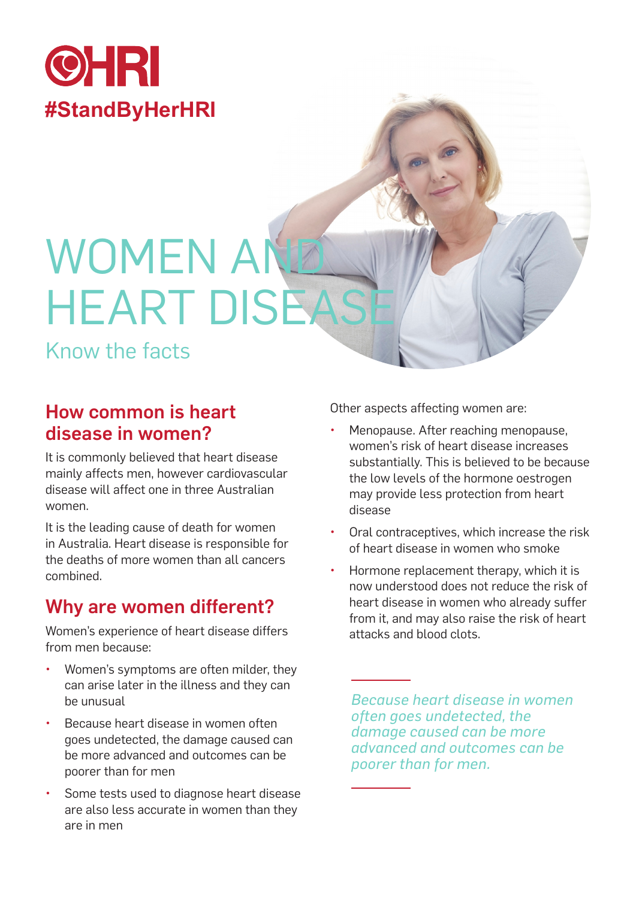

# **WOMEN AI HEART DISEAS**

Know the facts

## How common is heart disease in women?

It is commonly believed that heart disease mainly affects men, however cardiovascular disease will affect one in three Australian women.

It is the leading cause of death for women in Australia. Heart disease is responsible for the deaths of more women than all cancers combined.

## Why are women different?

Women's experience of heart disease differs from men because:

- Women's symptoms are often milder, they can arise later in the illness and they can be unusual
- Because heart disease in women often goes undetected, the damage caused can be more advanced and outcomes can be poorer than for men
- Some tests used to diagnose heart disease are also less accurate in women than they are in men

Other aspects affecting women are:

- Menopause. After reaching menopause, women's risk of heart disease increases substantially. This is believed to be because the low levels of the hormone oestrogen may provide less protection from heart disease
- Oral contraceptives, which increase the risk of heart disease in women who smoke
- Hormone replacement therapy, which it is now understood does not reduce the risk of heart disease in women who already suffer from it, and may also raise the risk of heart attacks and blood clots.

*Because heart disease in women often goes undetected, the damage caused can be more advanced and outcomes can be poorer than for men.*